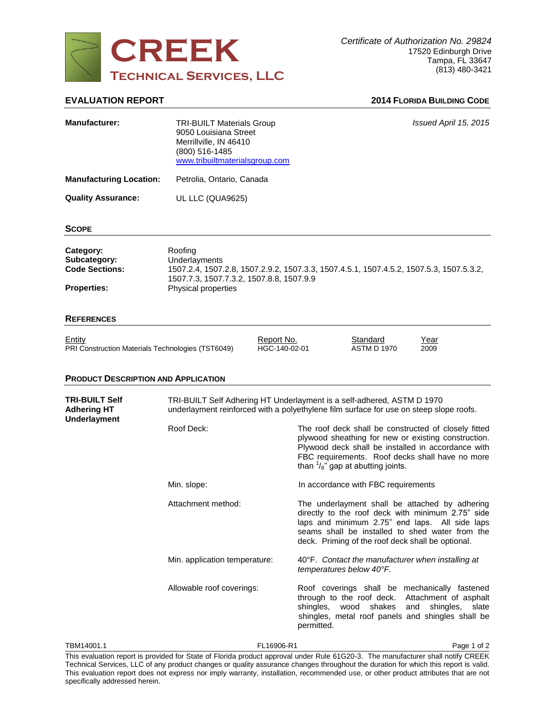

# **EVALUATION REPORT 2014 FLORIDA BUILDING CODE**

| <b>Manufacturer:</b>                                                                                                                                              | <b>TRI-BUILT Materials Group</b><br>9050 Louisiana Street<br>Merrillville, IN 46410<br>(800) 516-1485<br>www.tribuiltmaterialsgroup.com                                                | Issued April 15, 2015                                                                                                                                                                                                                                                |
|-------------------------------------------------------------------------------------------------------------------------------------------------------------------|----------------------------------------------------------------------------------------------------------------------------------------------------------------------------------------|----------------------------------------------------------------------------------------------------------------------------------------------------------------------------------------------------------------------------------------------------------------------|
| <b>Manufacturing Location:</b>                                                                                                                                    | Petrolia, Ontario, Canada                                                                                                                                                              |                                                                                                                                                                                                                                                                      |
| <b>Quality Assurance:</b>                                                                                                                                         | UL LLC (QUA9625)                                                                                                                                                                       |                                                                                                                                                                                                                                                                      |
| <b>SCOPE</b>                                                                                                                                                      |                                                                                                                                                                                        |                                                                                                                                                                                                                                                                      |
| Category:<br>Subcategory:<br><b>Code Sections:</b><br><b>Properties:</b>                                                                                          | Roofing<br>Underlayments<br>1507.2.4, 1507.2.8, 1507.2.9.2, 1507.3.3, 1507.4.5.1, 1507.4.5.2, 1507.5.3, 1507.5.3.2,<br>1507.7.3, 1507.7.3.2, 1507.8.8, 1507.9.9<br>Physical properties |                                                                                                                                                                                                                                                                      |
| <b>REFERENCES</b>                                                                                                                                                 |                                                                                                                                                                                        |                                                                                                                                                                                                                                                                      |
| Entity<br>PRI Construction Materials Technologies (TST6049)                                                                                                       | Report No.<br>HGC-140-02-01                                                                                                                                                            | <b>Standard</b><br>Year<br><b>ASTM D 1970</b><br>2009                                                                                                                                                                                                                |
| <b>PRODUCT DESCRIPTION AND APPLICATION</b>                                                                                                                        |                                                                                                                                                                                        |                                                                                                                                                                                                                                                                      |
| TRI-BUILT Self<br><b>Adhering HT</b><br><b>Underlayment</b>                                                                                                       | TRI-BUILT Self Adhering HT Underlayment is a self-adhered, ASTM D 1970<br>underlayment reinforced with a polyethylene film surface for use on steep slope roofs.                       |                                                                                                                                                                                                                                                                      |
|                                                                                                                                                                   | Roof Deck:                                                                                                                                                                             | The roof deck shall be constructed of closely fitted<br>plywood sheathing for new or existing construction.<br>Plywood deck shall be installed in accordance with<br>FBC requirements. Roof decks shall have no more<br>than $\frac{1}{8}$ " gap at abutting joints. |
|                                                                                                                                                                   | Min. slope:                                                                                                                                                                            | In accordance with FBC requirements                                                                                                                                                                                                                                  |
|                                                                                                                                                                   | Attachment method:                                                                                                                                                                     | The underlayment shall be attached by adhering<br>directly to the roof deck with minimum 2.75" side<br>laps and minimum 2.75" end laps. All side laps<br>seams shall be installed to shed water from the<br>deck. Priming of the roof deck shall be optional.        |
|                                                                                                                                                                   | Min. application temperature:                                                                                                                                                          | 40°F. Contact the manufacturer when installing at<br>temperatures below 40°F.                                                                                                                                                                                        |
|                                                                                                                                                                   | Allowable roof coverings:                                                                                                                                                              | Roof coverings shall be mechanically fastened<br>through to the roof deck. Attachment of asphalt<br>shingles, wood shakes and shingles, slate<br>shingles, metal roof panels and shingles shall be<br>permitted.                                                     |
| FL16906-R1<br>Page 1 of 2<br>TBM14001.1<br>This system to provided for Ctate of Florida product engravel under Bule 64C20.2. The manufacturer shall netity CDEFIX |                                                                                                                                                                                        |                                                                                                                                                                                                                                                                      |

This evaluation report is provided for State of Florida product approval under Rule 61G20-3. The manufacturer shall notify CREEK Technical Services, LLC of any product changes or quality assurance changes throughout the duration for which this report is valid. This evaluation report does not express nor imply warranty, installation, recommended use, or other product attributes that are not specifically addressed herein.